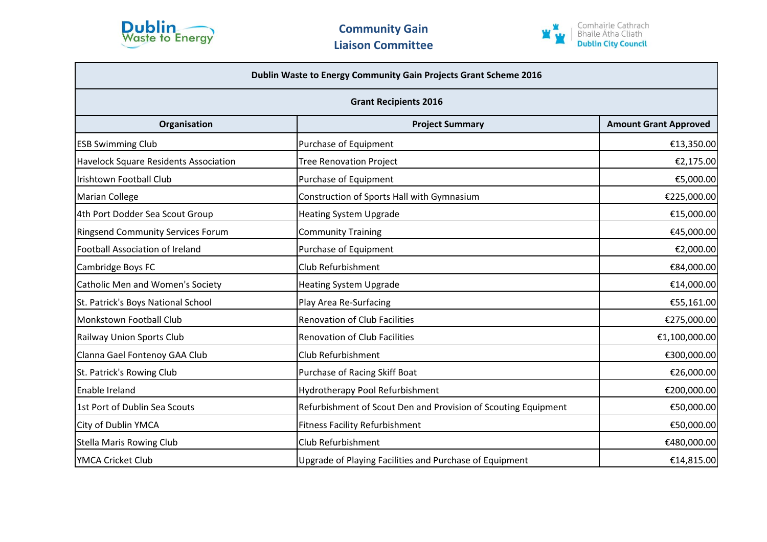



| Dublin Waste to Energy Community Gain Projects Grant Scheme 2016<br><b>Grant Recipients 2016</b> |                                                                |               |  |
|--------------------------------------------------------------------------------------------------|----------------------------------------------------------------|---------------|--|
|                                                                                                  |                                                                |               |  |
| <b>ESB Swimming Club</b>                                                                         | Purchase of Equipment                                          | €13,350.00    |  |
| <b>Havelock Square Residents Association</b>                                                     | <b>Tree Renovation Project</b>                                 | €2,175.00     |  |
| Irishtown Football Club                                                                          | Purchase of Equipment                                          | €5,000.00     |  |
| <b>Marian College</b>                                                                            | Construction of Sports Hall with Gymnasium                     | €225,000.00   |  |
| 4th Port Dodder Sea Scout Group                                                                  | <b>Heating System Upgrade</b>                                  | €15,000.00    |  |
| <b>Ringsend Community Services Forum</b>                                                         | <b>Community Training</b>                                      | €45,000.00    |  |
| <b>Football Association of Ireland</b>                                                           | Purchase of Equipment                                          | €2,000.00     |  |
| Cambridge Boys FC                                                                                | Club Refurbishment                                             | €84,000.00    |  |
| <b>Catholic Men and Women's Society</b>                                                          | <b>Heating System Upgrade</b>                                  | €14,000.00    |  |
| St. Patrick's Boys National School                                                               | Play Area Re-Surfacing                                         | €55,161.00    |  |
| Monkstown Football Club                                                                          | <b>Renovation of Club Facilities</b>                           | €275,000.00   |  |
| Railway Union Sports Club                                                                        | <b>Renovation of Club Facilities</b>                           | €1,100,000.00 |  |
| Clanna Gael Fontenoy GAA Club                                                                    | Club Refurbishment                                             | €300,000.00   |  |
| St. Patrick's Rowing Club                                                                        | Purchase of Racing Skiff Boat                                  | €26,000.00    |  |
| Enable Ireland                                                                                   | <b>Hydrotherapy Pool Refurbishment</b>                         | €200,000.00   |  |
| 1st Port of Dublin Sea Scouts                                                                    | Refurbishment of Scout Den and Provision of Scouting Equipment | €50,000.00    |  |
| City of Dublin YMCA                                                                              | <b>Fitness Facility Refurbishment</b>                          | €50,000.00    |  |
| <b>Stella Maris Rowing Club</b>                                                                  | Club Refurbishment                                             | €480,000.00   |  |
| YMCA Cricket Club                                                                                | Upgrade of Playing Facilities and Purchase of Equipment        | €14,815.00    |  |